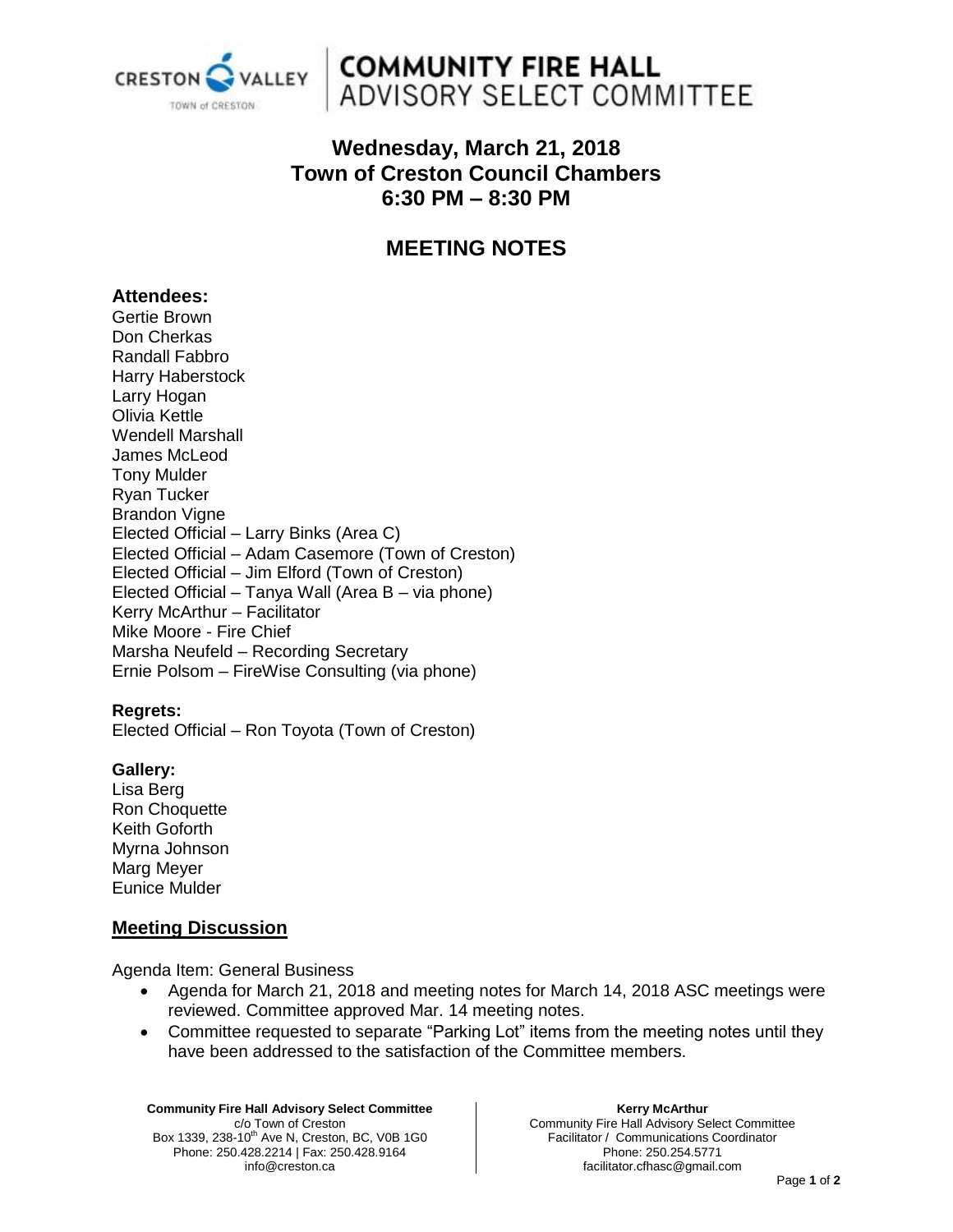

## **COMMUNITY FIRE HALL** ADVISORY SELECT COMMITTEE

## **Wednesday, March 21, 2018 Town of Creston Council Chambers 6:30 PM – 8:30 PM**

## **MEETING NOTES**

#### **Attendees:**

Gertie Brown Don Cherkas Randall Fabbro Harry Haberstock Larry Hogan Olivia Kettle Wendell Marshall James McLeod Tony Mulder Ryan Tucker Brandon Vigne Elected Official – Larry Binks (Area C) Elected Official – Adam Casemore (Town of Creston) Elected Official – Jim Elford (Town of Creston) Elected Official – Tanya Wall (Area B – via phone) Kerry McArthur – Facilitator Mike Moore - Fire Chief Marsha Neufeld – Recording Secretary Ernie Polsom – FireWise Consulting (via phone)

#### **Regrets:**

Elected Official – Ron Toyota (Town of Creston)

#### **Gallery:**

Lisa Berg Ron Choquette Keith Goforth Myrna Johnson Marg Meyer Eunice Mulder

#### **Meeting Discussion**

Agenda Item: General Business

- Agenda for March 21, 2018 and meeting notes for March 14, 2018 ASC meetings were reviewed. Committee approved Mar. 14 meeting notes.
- Committee requested to separate "Parking Lot" items from the meeting notes until they have been addressed to the satisfaction of the Committee members.

**Community Fire Hall Advisory Select Committee** c/o Town of Creston Box 1339, 238-10<sup>th</sup> Ave N, Creston, BC, V0B 1G0 Phone: 250.428.2214 | Fax: 250.428.9164 info@creston.ca

**Kerry McArthur** Community Fire Hall Advisory Select Committee Facilitator / Communications Coordinator Phone: 250.254.5771 facilitator.cfhasc@gmail.com